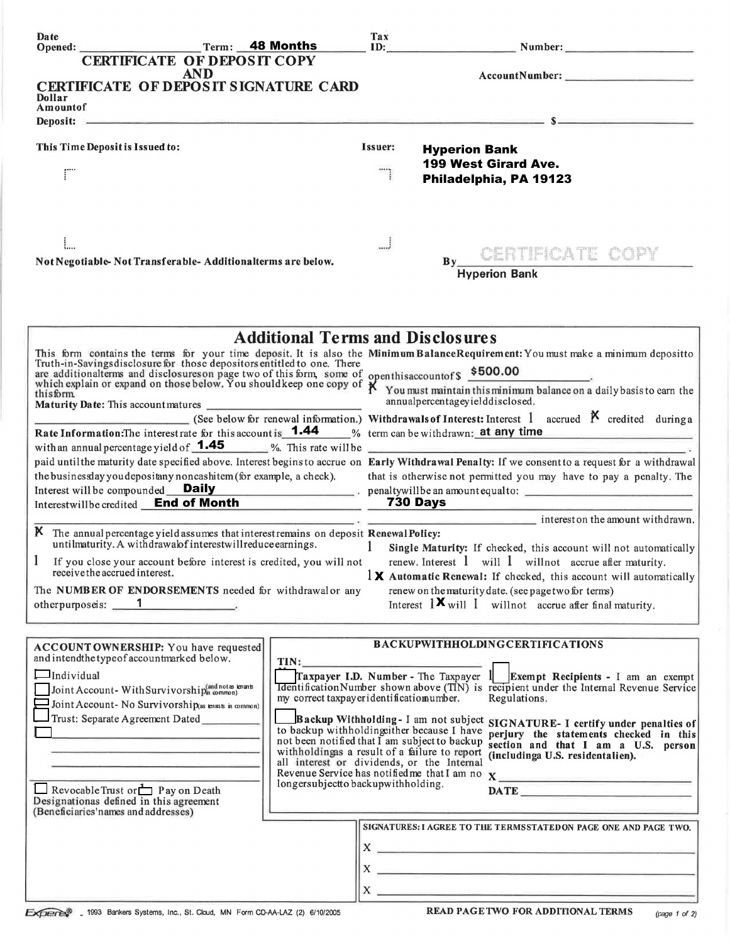| Date<br>Opened:                                                                     | Term: 48 Months                                                                        |                                                                                                | Tax                                                                                                                                                                                                                                   | ID: Number: Number:                                                                                                                                                                                                                  |               |
|-------------------------------------------------------------------------------------|----------------------------------------------------------------------------------------|------------------------------------------------------------------------------------------------|---------------------------------------------------------------------------------------------------------------------------------------------------------------------------------------------------------------------------------------|--------------------------------------------------------------------------------------------------------------------------------------------------------------------------------------------------------------------------------------|---------------|
|                                                                                     | <b>CERTIFICATE OF DEPOSIT COPY</b>                                                     |                                                                                                |                                                                                                                                                                                                                                       |                                                                                                                                                                                                                                      |               |
|                                                                                     | <b>AND</b>                                                                             |                                                                                                |                                                                                                                                                                                                                                       |                                                                                                                                                                                                                                      |               |
| Dollar                                                                              | CERTIFICATE OF DEPOSIT SIGNATURE CARD                                                  |                                                                                                |                                                                                                                                                                                                                                       |                                                                                                                                                                                                                                      |               |
| Amountof                                                                            |                                                                                        |                                                                                                |                                                                                                                                                                                                                                       |                                                                                                                                                                                                                                      |               |
|                                                                                     |                                                                                        |                                                                                                |                                                                                                                                                                                                                                       | Deposit: $s = s$                                                                                                                                                                                                                     |               |
| This Time Deposit is Issued to:                                                     |                                                                                        |                                                                                                | Issuer:                                                                                                                                                                                                                               | <b>Hyperion Bank</b>                                                                                                                                                                                                                 |               |
|                                                                                     |                                                                                        |                                                                                                |                                                                                                                                                                                                                                       | 199 West Girard Ave.                                                                                                                                                                                                                 |               |
| ΓÏ                                                                                  |                                                                                        |                                                                                                |                                                                                                                                                                                                                                       | Philadelphia, PA 19123                                                                                                                                                                                                               |               |
|                                                                                     |                                                                                        |                                                                                                |                                                                                                                                                                                                                                       |                                                                                                                                                                                                                                      |               |
|                                                                                     |                                                                                        |                                                                                                |                                                                                                                                                                                                                                       |                                                                                                                                                                                                                                      |               |
|                                                                                     |                                                                                        |                                                                                                |                                                                                                                                                                                                                                       |                                                                                                                                                                                                                                      |               |
|                                                                                     |                                                                                        |                                                                                                |                                                                                                                                                                                                                                       |                                                                                                                                                                                                                                      |               |
|                                                                                     | Not Negotiable-Not Transferable-Additionalterms are below.                             |                                                                                                |                                                                                                                                                                                                                                       | By CERTIFICATE COPY                                                                                                                                                                                                                  |               |
|                                                                                     |                                                                                        |                                                                                                |                                                                                                                                                                                                                                       | <b>Hyperion Bank</b>                                                                                                                                                                                                                 |               |
|                                                                                     |                                                                                        |                                                                                                |                                                                                                                                                                                                                                       |                                                                                                                                                                                                                                      |               |
|                                                                                     |                                                                                        |                                                                                                |                                                                                                                                                                                                                                       |                                                                                                                                                                                                                                      |               |
|                                                                                     |                                                                                        |                                                                                                |                                                                                                                                                                                                                                       |                                                                                                                                                                                                                                      |               |
|                                                                                     |                                                                                        | <b>Additional Terms and Disclosures</b>                                                        |                                                                                                                                                                                                                                       |                                                                                                                                                                                                                                      |               |
|                                                                                     |                                                                                        |                                                                                                |                                                                                                                                                                                                                                       | This form contains the terms for your time deposit. It is also the Minimum BalanceRequirement: You must make a minimum depositto Truth-in-Savings disclosure for those depositors entitled to one. There                             |               |
|                                                                                     |                                                                                        |                                                                                                | and the savings also loss the tor those depositors entities to one. There<br>are additional terms and disclosures on page two of this form, some of openthis account of \$500.00<br>which explain or expand on those below. You shoul |                                                                                                                                                                                                                                      |               |
| thisform                                                                            |                                                                                        |                                                                                                | annualpercentageyielddisclosed.                                                                                                                                                                                                       |                                                                                                                                                                                                                                      |               |
|                                                                                     |                                                                                        |                                                                                                |                                                                                                                                                                                                                                       |                                                                                                                                                                                                                                      |               |
|                                                                                     |                                                                                        |                                                                                                |                                                                                                                                                                                                                                       | (See below for renewal information.) Withdrawals of Interest: Interest 1 accrued $\beta$ credited during a<br>Rate Information: The interestrate for this account is <b>1.44</b> % term can be withdrawn; at any time                |               |
| with an annual percentage yield of $1.45$ %. This rate will be                      |                                                                                        |                                                                                                |                                                                                                                                                                                                                                       |                                                                                                                                                                                                                                      |               |
|                                                                                     |                                                                                        |                                                                                                |                                                                                                                                                                                                                                       | paid until the maturity date specified above. Interest begins to accrue on Early Withdrawal Penalty: If we consent to a request for a withdrawal                                                                                     |               |
|                                                                                     | the businessday you depositany noncashitem (for example, a check).                     |                                                                                                |                                                                                                                                                                                                                                       | that is otherwise not permitted you may have to pay a penalty. The                                                                                                                                                                   |               |
| Interest will be compounded Daily<br>Interestwill be credited End of Month 730 Days |                                                                                        |                                                                                                |                                                                                                                                                                                                                                       |                                                                                                                                                                                                                                      |               |
|                                                                                     |                                                                                        |                                                                                                |                                                                                                                                                                                                                                       |                                                                                                                                                                                                                                      |               |
|                                                                                     | K The annual percentage yield assumes that interest remains on deposit Renewal Policy: |                                                                                                |                                                                                                                                                                                                                                       | $\frac{1}{2}$ interest on the amount withdrawn.                                                                                                                                                                                      |               |
|                                                                                     | untilmaturity. A withdrawalof interestwillreduce earnings.                             | $\sim$ $\sim$ 1.                                                                               |                                                                                                                                                                                                                                       | Single Maturity: If checked, this account will not automatically                                                                                                                                                                     |               |
|                                                                                     | If you close your account before interest is credited, you will not                    |                                                                                                |                                                                                                                                                                                                                                       | renew. Interest 1 will 1 will not accrue after maturity.                                                                                                                                                                             |               |
| receive the accrued interest.                                                       |                                                                                        |                                                                                                |                                                                                                                                                                                                                                       | $\frac{1}{2}$ Automatic Renewal: If checked, this account will automatically                                                                                                                                                         |               |
|                                                                                     | The NUMBER OF ENDORSEMENTS needed for withdrawal or any                                |                                                                                                |                                                                                                                                                                                                                                       | renew on the maturity date. (see page two for terms)                                                                                                                                                                                 |               |
| otherpurposeis: 1                                                                   |                                                                                        |                                                                                                |                                                                                                                                                                                                                                       | Interest $1 \times$ will 1 will not accrue after final maturity.                                                                                                                                                                     |               |
|                                                                                     |                                                                                        |                                                                                                |                                                                                                                                                                                                                                       |                                                                                                                                                                                                                                      |               |
|                                                                                     | ACCOUNT OWNERSHIP: You have requested                                                  |                                                                                                |                                                                                                                                                                                                                                       | <b>BACKUPWITHHOLDINGCERTIFICATIONS</b>                                                                                                                                                                                               |               |
| and intendthe type of accountmarked below.                                          |                                                                                        | TIN:                                                                                           |                                                                                                                                                                                                                                       |                                                                                                                                                                                                                                      |               |
| $\Box$ Individual                                                                   |                                                                                        |                                                                                                |                                                                                                                                                                                                                                       | Traxpayer I.D. Number - The Taxpayer $1$ Exempt Recipients - I am an exempt                                                                                                                                                          |               |
|                                                                                     | Joint Account-With Survivorship(and notes knants                                       | my correct taxpayer identificatiomumber.                                                       |                                                                                                                                                                                                                                       | <b>Identification Number shown above (TIN)</b> is recipient under the Internal Revenue Service<br>Regulations.                                                                                                                       |               |
| Trust: Separate Agreement Dated                                                     | Joint Account- No Survivorship(as tenants in common)                                   |                                                                                                |                                                                                                                                                                                                                                       |                                                                                                                                                                                                                                      |               |
|                                                                                     |                                                                                        | to backup withholding ther because I have                                                      |                                                                                                                                                                                                                                       | Backup Withholding-I am not subject SIGNATURE-I certify under penalties of<br>perjury the statements checked in this                                                                                                                 |               |
|                                                                                     |                                                                                        | not been notified that I am subject to backup<br>withholdingas a result of a failure to report |                                                                                                                                                                                                                                       | section and that I am a U.S. person                                                                                                                                                                                                  |               |
|                                                                                     |                                                                                        | all interest or dividends, or the Internal                                                     |                                                                                                                                                                                                                                       | (includinga U.S. residentalien).                                                                                                                                                                                                     |               |
|                                                                                     |                                                                                        | longersubjectto backupwithholding.                                                             |                                                                                                                                                                                                                                       | Revenue Service has notified me that I am no X                                                                                                                                                                                       |               |
| Revocable Trust or $\Box$ P ay on Death<br>Designationas defined in this agreement  |                                                                                        |                                                                                                |                                                                                                                                                                                                                                       |                                                                                                                                                                                                                                      |               |
| (Beneficiaries'names and addresses)                                                 |                                                                                        |                                                                                                |                                                                                                                                                                                                                                       |                                                                                                                                                                                                                                      |               |
|                                                                                     |                                                                                        |                                                                                                |                                                                                                                                                                                                                                       | SIGNATURES: I AGREE TO THE TERMSSTATED ON PAGE ONE AND PAGE TWO.                                                                                                                                                                     |               |
|                                                                                     |                                                                                        |                                                                                                |                                                                                                                                                                                                                                       | $\mathbf{x}$ $\overline{\phantom{a}}$                                                                                                                                                                                                |               |
|                                                                                     |                                                                                        |                                                                                                | $X -$                                                                                                                                                                                                                                 |                                                                                                                                                                                                                                      |               |
|                                                                                     |                                                                                        |                                                                                                |                                                                                                                                                                                                                                       | <u>see alle provincia suomen muodosta suomen muodosta suomen muodosta suomen muodosta suomen muodosta suomen muodosta suomen muodosta suomen muodosta suomen muodosta suomen muodosta suomen muodosta suomen muodosta suomen muo</u> |               |
|                                                                                     |                                                                                        |                                                                                                | $X_{-}$                                                                                                                                                                                                                               |                                                                                                                                                                                                                                      |               |
|                                                                                     | EXPERIS 1993 Bankers Systems, Inc., St. Cloud, MN Form CD-AA-LAZ (2) 6/10/2005         |                                                                                                |                                                                                                                                                                                                                                       | <b>READ PAGETWO FOR ADDITIONAL TERMS</b>                                                                                                                                                                                             | (page 1 of 2) |